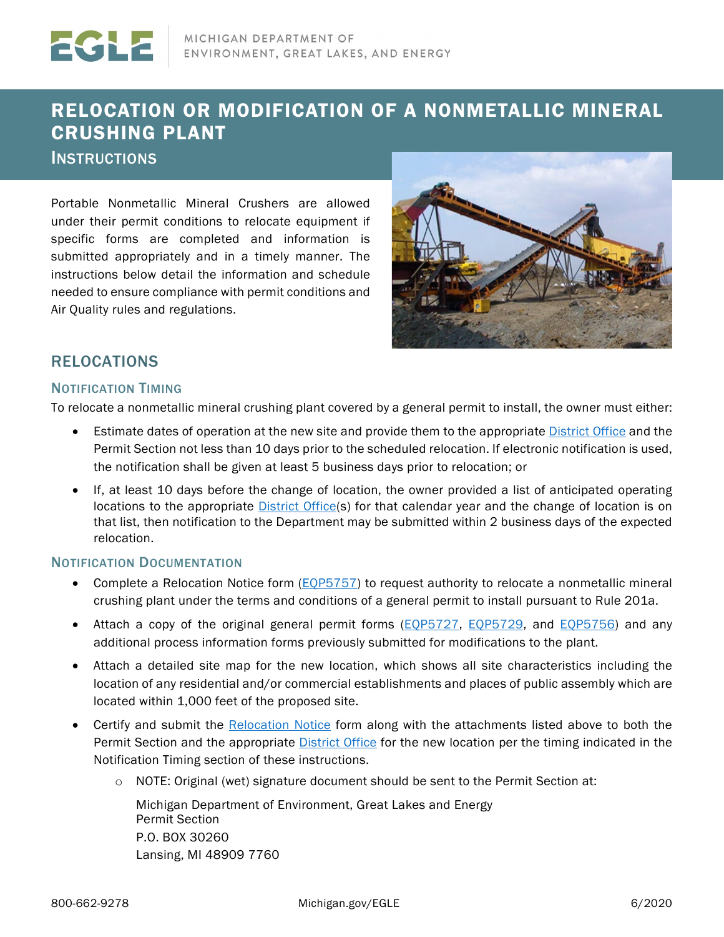# RELOCATION OR MODIFICATION OF A NONMETALLIC MINERAL CRUSHING PLANT

**INSTRUCTIONS** 

Portable Nonmetallic Mineral Crushers are allowed under their permit conditions to relocate equipment if specific forms are completed and information is submitted appropriately and in a timely manner. The instructions below detail the information and schedule needed to ensure compliance with permit conditions and Air Quality rules and regulations.



### RELOCATIONS

#### NOTIFICATION TIMING

To relocate a nonmetallic mineral crushing plant covered by a general permit to install, the owner must either:

- Estimate dates of operation at the new site and provide them to the appropriat[e District Office](#page-2-0) and the Permit Section not less than 10 days prior to the scheduled relocation. If electronic notification is used, the notification shall be given at least 5 business days prior to relocation; or
- If, at least 10 days before the change of location, the owner provided a list of anticipated operating locations to the appropriate **District Office**(s) for that calendar year and the change of location is on that list, then notification to the Department may be submitted within 2 business days of the expected relocation.

#### NOTIFICATION DOCUMENTATION

- Complete a Relocation Notice form [\(EQP5757\)](https://www.michigan.gov/documents/deq/deq-aqd-pti-crusher_relocation_356465_7.pdf) to request authority to relocate a nonmetallic mineral crushing plant under the terms and conditions of a general permit to install pursuant to Rule 201a.
- Attach a copy of the original general permit forms (*EQP5727*, *EQP5729*, and *EQP5756*) and any additional process information forms previously submitted for modifications to the plant.
- Attach a detailed site map for the new location, which shows all site characteristics including the location of any residential and/or commercial establishments and places of public assembly which are located within 1,000 feet of the proposed site.
- Certify and submit the [Relocation Notice](https://www.michigan.gov/documents/deq/deq-aqd-pti-crusher_relocation_356465_7.pdf) form along with the attachments listed above to both the Permit Section and the appropriate [District Office](#page-2-0) for the new location per the timing indicated in the Notification Timing section of these instructions.
	- $\circ$  NOTE: Original (wet) signature document should be sent to the Permit Section at:

Michigan Department of Environment, Great Lakes and Energy Permit Section P.O. BOX 30260 Lansing, MI 48909 7760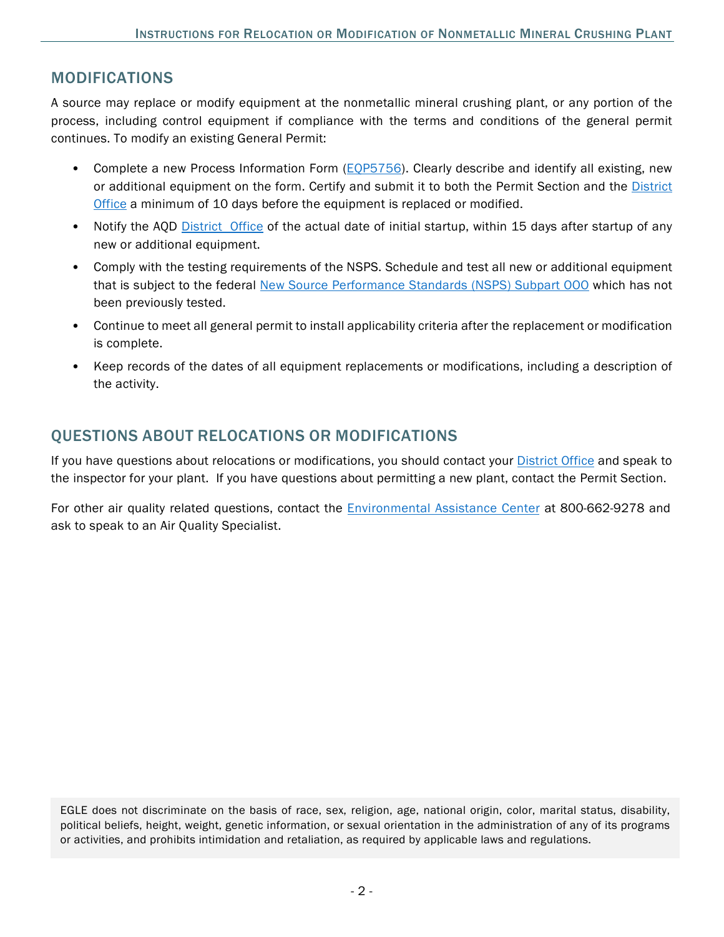### MODIFICATIONS

A source may replace or modify equipment at the nonmetallic mineral crushing plant, or any portion of the process, including control equipment if compliance with the terms and conditions of the general permit continues. To modify an existing General Permit:

- Complete a new Process Information Form [\(EQP5756\)](https://www.michigan.gov/documents/deq/deq-aqd-pti-crusher_modification_356466_7.pdf). Clearly describe and identify all existing, new or additional equipment on the form. Certify and submit it to both the Permit Section and the [District](#page-2-0) [Office](#page-2-0) a minimum of 10 days before the equipment is replaced or modified.
- Notify the AQD [District Office](https://www.michigan.gov/documents/deq/deq-aqd-rop-district_table_530409_7.pdf) of the actual date of initial startup, within 15 days after startup of any new or additional equipment.
- Comply with the testing requirements of the NSPS. Schedule and test all new or additional equipment that is subject to the federal [New Source Performance Standards \(NSPS\) Subpart OOO](https://www.epa.gov/stationary-sources-air-pollution/nonmetallic-mineral-processing-new-source-performance-standards) which has not been previously tested.
- Continue to meet all general permit to install applicability criteria after the replacement or modification is complete.
- Keep records of the dates of all equipment replacements or modifications, including a description of the activity.

### QUESTIONS ABOUT RELOCATIONS OR MODIFICATIONS

If you have questions about relocations or modifications, you should contact your [District Office](#page-2-0) and speak to the inspector for your plant. If you have questions about permitting a new plant, contact the Permit Section.

For other air quality related questions, contact the Environmental [Assistance Center](mailto:EGLE-Assist@Michigan.gov?subject=Mineral%20Crusher%20Relocation%20or%20Modification) at 800-662-9278 and ask to speak to an Air Quality Specialist.

EGLE does not discriminate on the basis of race, sex, religion, age, national origin, color, marital status, disability, political beliefs, height, weight, genetic information, or sexual orientation in the administration of any of its programs or activities, and prohibits intimidation and retaliation, as required by applicable laws and regulations.